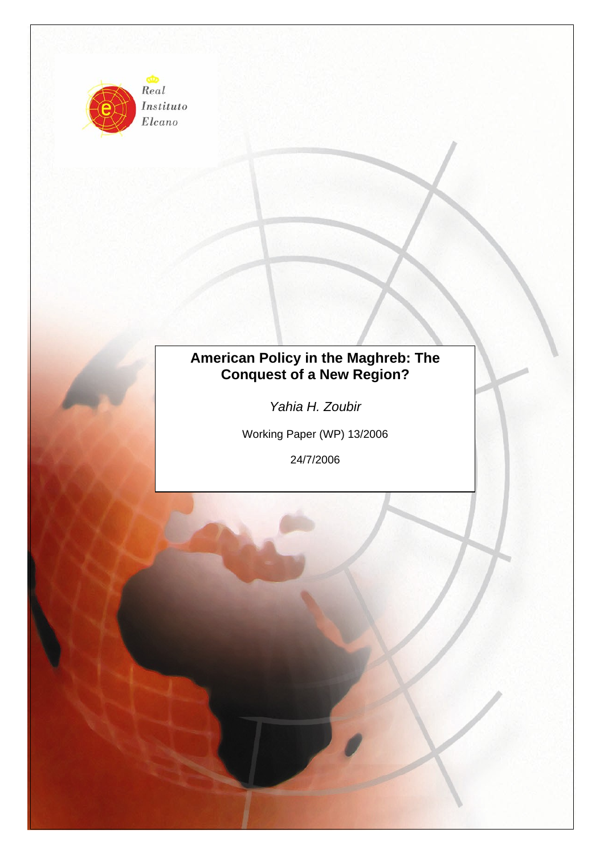

Instituto Elcano

# **American Policy in the Maghreb: The Conquest of a New Region?**

*Yahia H. Zoubir* 

Working Paper (WP) 13/2006

24/7/2006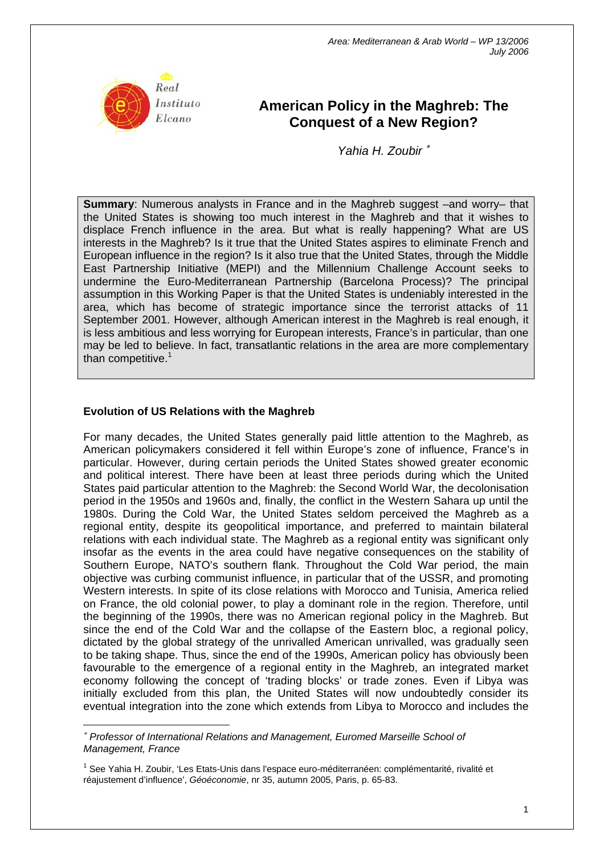

# **American Policy in the Maghreb: The Conquest of a New Region?**

*Yahia H. Zoubir* <sup>∗</sup>

**Summary**: Numerous analysts in France and in the Maghreb suggest –and worry– that the United States is showing too much interest in the Maghreb and that it wishes to displace French influence in the area. But what is really happening? What are US interests in the Maghreb? Is it true that the United States aspires to eliminate French and European influence in the region? Is it also true that the United States, through the Middle East Partnership Initiative (MEPI) and the Millennium Challenge Account seeks to undermine the Euro-Mediterranean Partnership (Barcelona Process)? The principal assumption in this Working Paper is that the United States is undeniably interested in the area, which has become of strategic importance since the terrorist attacks of 11 September 2001. However, although American interest in the Maghreb is real enough, it is less ambitious and less worrying for European interests, France's in particular, than one may be led to believe. In fact, transatlantic relations in the area are more complementary than competitive. $1$ 

#### **Evolution of US Relations with the Maghreb**

 $\overline{a}$ 

For many decades, the United States generally paid little attention to the Maghreb, as American policymakers considered it fell within Europe's zone of influence, France's in particular. However, during certain periods the United States showed greater economic and political interest. There have been at least three periods during which the United States paid particular attention to the Maghreb: the Second World War, the decolonisation period in the 1950s and 1960s and, finally, the conflict in the Western Sahara up until the 1980s. During the Cold War, the United States seldom perceived the Maghreb as a regional entity, despite its geopolitical importance, and preferred to maintain bilateral relations with each individual state. The Maghreb as a regional entity was significant only insofar as the events in the area could have negative consequences on the stability of Southern Europe, NATO's southern flank. Throughout the Cold War period, the main objective was curbing communist influence, in particular that of the USSR, and promoting Western interests. In spite of its close relations with Morocco and Tunisia, America relied on France, the old colonial power, to play a dominant role in the region. Therefore, until the beginning of the 1990s, there was no American regional policy in the Maghreb. But since the end of the Cold War and the collapse of the Eastern bloc, a regional policy, dictated by the global strategy of the unrivalled American unrivalled, was gradually seen to be taking shape. Thus, since the end of the 1990s, American policy has obviously been favourable to the emergence of a regional entity in the Maghreb, an integrated market economy following the concept of 'trading blocks' or trade zones. Even if Libya was initially excluded from this plan, the United States will now undoubtedly consider its eventual integration into the zone which extends from Libya to Morocco and includes the

<sup>∗</sup> *Professor of International Relations and Management, Euromed Marseille School of Management, France* 

<span id="page-1-0"></span><sup>&</sup>lt;sup>1</sup> See Yahia H. Zoubir, 'Les Etats-Unis dans l'espace euro-méditerranéen: complémentarité, rivalité et réajustement d'influence', *Géoéconomie*, nr 35, autumn 2005, Paris, p. 65-83.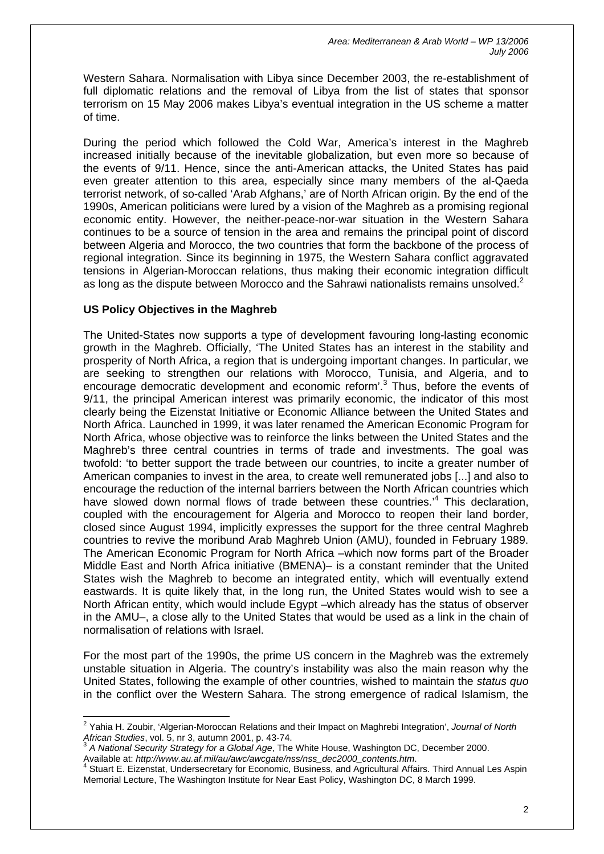Western Sahara. Normalisation with Libya since December 2003, the re-establishment of full diplomatic relations and the removal of Libya from the list of states that sponsor terrorism on 15 May 2006 makes Libya's eventual integration in the US scheme a matter of time.

During the period which followed the Cold War, America's interest in the Maghreb increased initially because of the inevitable globalization, but even more so because of the events of 9/11. Hence, since the anti-American attacks, the United States has paid even greater attention to this area, especially since many members of the al-Qaeda terrorist network, of so-called 'Arab Afghans,' are of North African origin. By the end of the 1990s, American politicians were lured by a vision of the Maghreb as a promising regional economic entity. However, the neither-peace-nor-war situation in the Western Sahara continues to be a source of tension in the area and remains the principal point of discord between Algeria and Morocco, the two countries that form the backbone of the process of regional integration. Since its beginning in 1975, the Western Sahara conflict aggravated tensions in Algerian-Moroccan relations, thus making their economic integration difficult as long as the dispute between Morocco and the Sahrawi nationalists remains unsolved.<sup>[2](#page-2-0)</sup>

## **US Policy Objectives in the Maghreb**

The United-States now supports a type of development favouring long-lasting economic growth in the Maghreb. Officially, 'The United States has an interest in the stability and prosperity of North Africa, a region that is undergoing important changes. In particular, we are seeking to strengthen our relations with Morocco, Tunisia, and Algeria, and to encouragedemocratic development and economic reform'.<sup>3</sup> Thus, before the events of 9/11, the principal American interest was primarily economic, the indicator of this most clearly being the Eizenstat Initiative or Economic Alliance between the United States and North Africa. Launched in 1999, it was later renamed the American Economic Program for North Africa, whose objective was to reinforce the links between the United States and the Maghreb's three central countries in terms of trade and investments. The goal was twofold: 'to better support the trade between our countries, to incite a greater number of American companies to invest in the area, to create well remunerated jobs [...] and also to encourage the reduction of the internal barriers between the North African countries which have slowed down normal flows of trade between these countries.<sup>[4](#page-2-2)</sup> This declaration, coupled with the encouragement for Algeria and Morocco to reopen their land border, closed since August 1994, implicitly expresses the support for the three central Maghreb countries to revive the moribund Arab Maghreb Union (AMU), founded in February 1989. The American Economic Program for North Africa –which now forms part of the Broader Middle East and North Africa initiative (BMENA)– is a constant reminder that the United States wish the Maghreb to become an integrated entity, which will eventually extend eastwards. It is quite likely that, in the long run, the United States would wish to see a North African entity, which would include Egypt –which already has the status of observer in the AMU–, a close ally to the United States that would be used as a link in the chain of normalisation of relations with Israel.

For the most part of the 1990s, the prime US concern in the Maghreb was the extremely unstable situation in Algeria. The country's instability was also the main reason why the United States, following the example of other countries, wished to maintain the *status quo* in the conflict over the Western Sahara. The strong emergence of radical Islamism, the

<span id="page-2-1"></span>Available at: *http://www.au.af.mil/au/awc/awcgate/nss/nss\_dec2000\_contents.htm*. 4

<span id="page-2-0"></span> 2 Yahia H. Zoubir, 'Algerian-Moroccan Relations and their Impact on Maghrebi Integration', *Journal of North African Studies*, vol. 5, nr 3, autumn 2001, p. 43-74. 3 *A National Security Strategy for a Global Age*, The White House, Washington DC, December 2000.

<span id="page-2-2"></span>Stuart E. Eizenstat, Undersecretary for Economic, Business, and Agricultural Affairs. Third Annual Les Aspin Memorial Lecture, The Washington Institute for Near East Policy, Washington DC, 8 March 1999.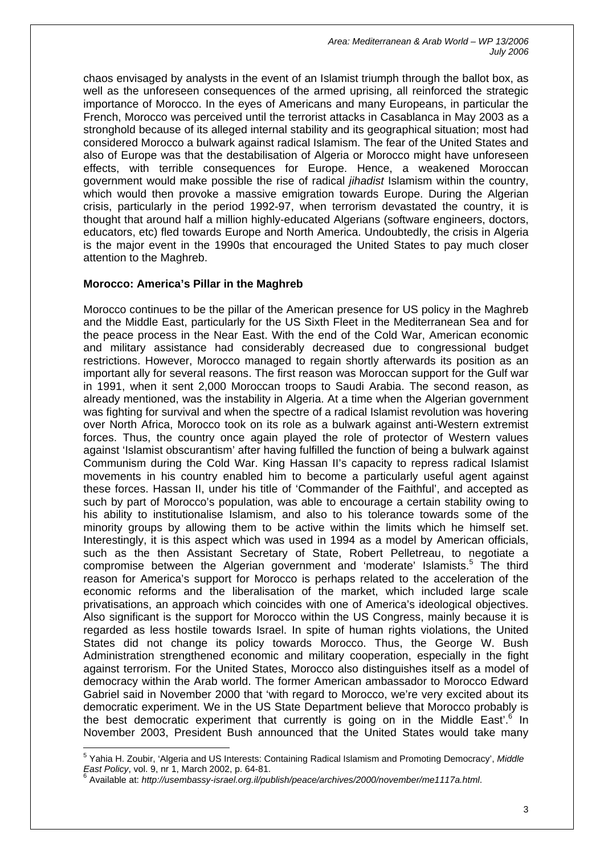chaos envisaged by analysts in the event of an Islamist triumph through the ballot box, as well as the unforeseen consequences of the armed uprising, all reinforced the strategic importance of Morocco. In the eyes of Americans and many Europeans, in particular the French, Morocco was perceived until the terrorist attacks in Casablanca in May 2003 as a stronghold because of its alleged internal stability and its geographical situation; most had considered Morocco a bulwark against radical Islamism. The fear of the United States and also of Europe was that the destabilisation of Algeria or Morocco might have unforeseen effects, with terrible consequences for Europe. Hence, a weakened Moroccan government would make possible the rise of radical *jihadist* Islamism within the country, which would then provoke a massive emigration towards Europe. During the Algerian crisis, particularly in the period 1992-97, when terrorism devastated the country, it is thought that around half a million highly-educated Algerians (software engineers, doctors, educators, etc) fled towards Europe and North America. Undoubtedly, the crisis in Algeria is the major event in the 1990s that encouraged the United States to pay much closer attention to the Maghreb.

## **Morocco: America's Pillar in the Maghreb**

 $\overline{a}$ 

Morocco continues to be the pillar of the American presence for US policy in the Maghreb and the Middle East, particularly for the US Sixth Fleet in the Mediterranean Sea and for the peace process in the Near East. With the end of the Cold War, American economic and military assistance had considerably decreased due to congressional budget restrictions. However, Morocco managed to regain shortly afterwards its position as an important ally for several reasons. The first reason was Moroccan support for the Gulf war in 1991, when it sent 2,000 Moroccan troops to Saudi Arabia. The second reason, as already mentioned, was the instability in Algeria. At a time when the Algerian government was fighting for survival and when the spectre of a radical Islamist revolution was hovering over North Africa, Morocco took on its role as a bulwark against anti-Western extremist forces. Thus, the country once again played the role of protector of Western values against 'Islamist obscurantism' after having fulfilled the function of being a bulwark against Communism during the Cold War. King Hassan II's capacity to repress radical Islamist movements in his country enabled him to become a particularly useful agent against these forces. Hassan II, under his title of 'Commander of the Faithful', and accepted as such by part of Morocco's population, was able to encourage a certain stability owing to his ability to institutionalise Islamism, and also to his tolerance towards some of the minority groups by allowing them to be active within the limits which he himself set. Interestingly, it is this aspect which was used in 1994 as a model by American officials, such as the then Assistant Secretary of State, Robert Pelletreau, to negotiate a compromisebetween the Algerian government and 'moderate' Islamists.<sup>5</sup> The third reason for America's support for Morocco is perhaps related to the acceleration of the economic reforms and the liberalisation of the market, which included large scale privatisations, an approach which coincides with one of America's ideological objectives. Also significant is the support for Morocco within the US Congress, mainly because it is regarded as less hostile towards Israel. In spite of human rights violations, the United States did not change its policy towards Morocco. Thus, the George W. Bush Administration strengthened economic and military cooperation, especially in the fight against terrorism. For the United States, Morocco also distinguishes itself as a model of democracy within the Arab world. The former American ambassador to Morocco Edward Gabriel said in November 2000 that 'with regard to Morocco, we're very excited about its democratic experiment. We in the US State Department believe that Morocco probably is the best democratic experiment that currently is going on in the Middle East'.<sup>[6](#page-3-1)</sup> In November 2003, President Bush announced that the United States would take many

<span id="page-3-0"></span><sup>5</sup> Yahia H. Zoubir, 'Algeria and US Interests: Containing Radical Islamism and Promoting Democracy', *Middle East Policy*, vol. 9, nr 1, March 2002, p. 64-81. 6

<span id="page-3-1"></span>Available at: *http://usembassy-israel.org.il/publish/peace/archives/2000/november/me1117a.html*.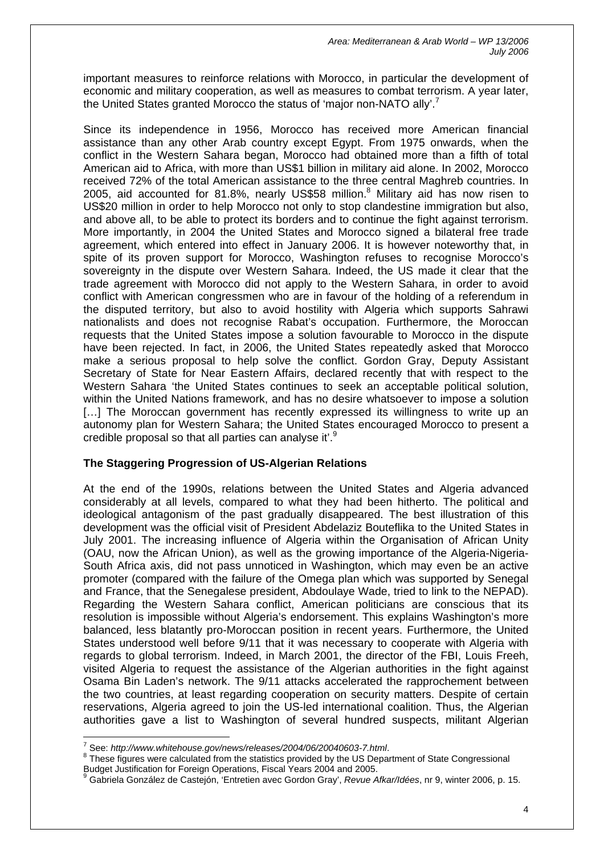important measures to reinforce relations with Morocco, in particular the development of economic and military cooperation, as well as measures to combat terrorism. A year later, the United States granted Morocco the status of 'major non-NATO ally'.<sup>[7](#page-4-0)</sup>

Since its independence in 1956, Morocco has received more American financial assistance than any other Arab country except Egypt. From 1975 onwards, when the conflict in the Western Sahara began, Morocco had obtained more than a fifth of total American aid to Africa, with more than US\$1 billion in military aid alone. In 2002, Morocco received 72% of the total American assistance to the three central Maghreb countries. In 2005, aid accounted for [8](#page-4-1)1.8%, nearly US\$58 million. $8$  Military aid has now risen to US\$20 million in order to help Morocco not only to stop clandestine immigration but also, and above all, to be able to protect its borders and to continue the fight against terrorism. More importantly, in 2004 the United States and Morocco signed a bilateral free trade agreement, which entered into effect in January 2006. It is however noteworthy that, in spite of its proven support for Morocco, Washington refuses to recognise Morocco's sovereignty in the dispute over Western Sahara. Indeed, the US made it clear that the trade agreement with Morocco did not apply to the Western Sahara, in order to avoid conflict with American congressmen who are in favour of the holding of a referendum in the disputed territory, but also to avoid hostility with Algeria which supports Sahrawi nationalists and does not recognise Rabat's occupation. Furthermore, the Moroccan requests that the United States impose a solution favourable to Morocco in the dispute have been rejected. In fact, in 2006, the United States repeatedly asked that Morocco make a serious proposal to help solve the conflict. Gordon Gray, Deputy Assistant Secretary of State for Near Eastern Affairs, declared recently that with respect to the Western Sahara 'the United States continues to seek an acceptable political solution, within the United Nations framework, and has no desire whatsoever to impose a solution [...] The Moroccan government has recently expressed its willingness to write up an autonomy plan for Western Sahara; the United States encouraged Morocco to present a credible proposal so that all parties can analyse it'.[9](#page-4-2)

## **The Staggering Progression of US-Algerian Relations**

At the end of the 1990s, relations between the United States and Algeria advanced considerably at all levels, compared to what they had been hitherto. The political and ideological antagonism of the past gradually disappeared. The best illustration of this development was the official visit of President Abdelaziz Bouteflika to the United States in July 2001. The increasing influence of Algeria within the Organisation of African Unity (OAU, now the African Union), as well as the growing importance of the Algeria-Nigeria-South Africa axis, did not pass unnoticed in Washington, which may even be an active promoter (compared with the failure of the Omega plan which was supported by Senegal and France, that the Senegalese president, Abdoulaye Wade, tried to link to the NEPAD). Regarding the Western Sahara conflict, American politicians are conscious that its resolution is impossible without Algeria's endorsement. This explains Washington's more balanced, less blatantly pro-Moroccan position in recent years. Furthermore, the United States understood well before 9/11 that it was necessary to cooperate with Algeria with regards to global terrorism. Indeed, in March 2001, the director of the FBI, Louis Freeh, visited Algeria to request the assistance of the Algerian authorities in the fight against Osama Bin Laden's network. The 9/11 attacks accelerated the rapprochement between the two countries, at least regarding cooperation on security matters. Despite of certain reservations, Algeria agreed to join the US-led international coalition. Thus, the Algerian authorities gave a list to Washington of several hundred suspects, militant Algerian

<span id="page-4-0"></span><sup>&</sup>lt;sup>7</sup> See: http://www.whitehouse.gov/news/releases/2004/06/20040603-7.html.

<span id="page-4-1"></span><sup>&</sup>lt;sup>8</sup> These figures were calculated from the statistics provided by the US Department of State Congressional Budget Justification for Foreign Operations, Fiscal Years 2004 and 2005.<br><sup>9</sup> Cebricle Conzález de Cesteién (Entration avec Carden Crav), Revye A

<span id="page-4-2"></span>Gabriela González de Castejón, 'Entretien avec Gordon Gray', *Revue Afkar/Idées*, nr 9, winter 2006, p. 15.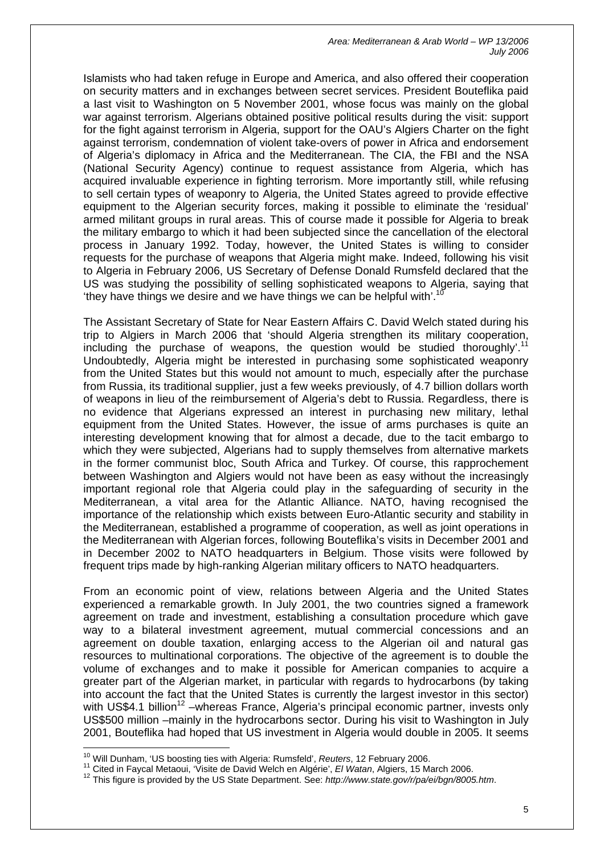Islamists who had taken refuge in Europe and America, and also offered their cooperation on security matters and in exchanges between secret services. President Bouteflika paid a last visit to Washington on 5 November 2001, whose focus was mainly on the global war against terrorism. Algerians obtained positive political results during the visit: support for the fight against terrorism in Algeria, support for the OAU's Algiers Charter on the fight against terrorism, condemnation of violent take-overs of power in Africa and endorsement of Algeria's diplomacy in Africa and the Mediterranean. The CIA, the FBI and the NSA (National Security Agency) continue to request assistance from Algeria, which has acquired invaluable experience in fighting terrorism. More importantly still, while refusing to sell certain types of weaponry to Algeria, the United States agreed to provide effective equipment to the Algerian security forces, making it possible to eliminate the 'residual' armed militant groups in rural areas. This of course made it possible for Algeria to break the military embargo to which it had been subjected since the cancellation of the electoral process in January 1992. Today, however, the United States is willing to consider requests for the purchase of weapons that Algeria might make. Indeed, following his visit to Algeria in February 2006, US Secretary of Defense Donald Rumsfeld declared that the US was studying the possibility of selling sophisticated weapons to Algeria, saying that 'they have things we desire and we have things we can be helpful with'. $<sup>1</sup>$ </sup>

The Assistant Secretary of State for Near Eastern Affairs C. David Welch stated during his trip to Algiers in March 2006 that 'should Algeria strengthen its military cooperation, including the purchase of weapons, the question would be studied thoroughly'.<sup>[11](#page-5-1)</sup> Undoubtedly, Algeria might be interested in purchasing some sophisticated weaponry from the United States but this would not amount to much, especially after the purchase from Russia, its traditional supplier, just a few weeks previously, of 4.7 billion dollars worth of weapons in lieu of the reimbursement of Algeria's debt to Russia. Regardless, there is no evidence that Algerians expressed an interest in purchasing new military, lethal equipment from the United States. However, the issue of arms purchases is quite an interesting development knowing that for almost a decade, due to the tacit embargo to which they were subjected. Algerians had to supply themselves from alternative markets in the former communist bloc, South Africa and Turkey. Of course, this rapprochement between Washington and Algiers would not have been as easy without the increasingly important regional role that Algeria could play in the safeguarding of security in the Mediterranean, a vital area for the Atlantic Alliance. NATO, having recognised the importance of the relationship which exists between Euro-Atlantic security and stability in the Mediterranean, established a programme of cooperation, as well as joint operations in the Mediterranean with Algerian forces, following Bouteflika's visits in December 2001 and in December 2002 to NATO headquarters in Belgium. Those visits were followed by frequent trips made by high-ranking Algerian military officers to NATO headquarters.

From an economic point of view, relations between Algeria and the United States experienced a remarkable growth. In July 2001, the two countries signed a framework agreement on trade and investment, establishing a consultation procedure which gave way to a bilateral investment agreement, mutual commercial concessions and an agreement on double taxation, enlarging access to the Algerian oil and natural gas resources to multinational corporations. The objective of the agreement is to double the volume of exchanges and to make it possible for American companies to acquire a greater part of the Algerian market, in particular with regards to hydrocarbons (by taking into account the fact that the United States is currently the largest investor in this sector) with US\$4.1 billion<sup>12</sup> –whereas France, Algeria's principal economic partner, invests only US\$500 million –mainly in the hydrocarbons sector. During his visit to Washington in July 2001, Bouteflika had hoped that US investment in Algeria would double in 2005. It seems

<span id="page-5-0"></span><sup>&</sup>lt;sup>10</sup> Will Dunham, 'US boosting ties with Algeria: Rumsfeld', Reuters, 12 February 2006.

<span id="page-5-1"></span><sup>&</sup>lt;sup>11</sup> Cited in Faycal Metaoui, 'Visite de David Welch en Algérie', *El Watan*, Algiers, 15 March 2006.

<span id="page-5-2"></span><sup>12</sup> This figure is provided by the US State Department. See: *http://www.state.gov/r/pa/ei/bgn/8005.htm*.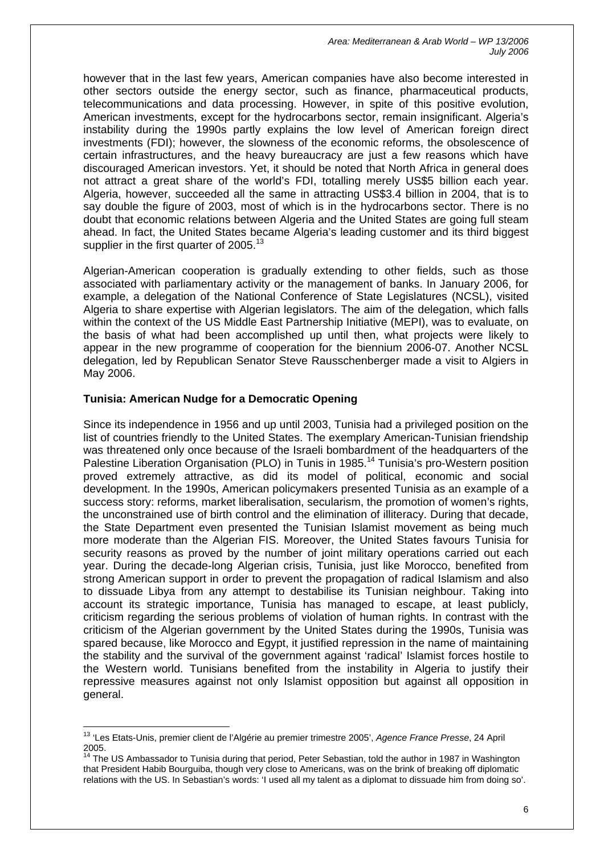however that in the last few years, American companies have also become interested in other sectors outside the energy sector, such as finance, pharmaceutical products, telecommunications and data processing. However, in spite of this positive evolution, American investments, except for the hydrocarbons sector, remain insignificant. Algeria's instability during the 1990s partly explains the low level of American foreign direct investments (FDI); however, the slowness of the economic reforms, the obsolescence of certain infrastructures, and the heavy bureaucracy are just a few reasons which have discouraged American investors. Yet, it should be noted that North Africa in general does not attract a great share of the world's FDI, totalling merely US\$5 billion each year. Algeria, however, succeeded all the same in attracting US\$3.4 billion in 2004, that is to say double the figure of 2003, most of which is in the hydrocarbons sector. There is no doubt that economic relations between Algeria and the United States are going full steam ahead. In fact, the United States became Algeria's leading customer and its third biggest supplier in the first quarter of 2005.<sup>[13](#page-6-0)</sup>

Algerian-American cooperation is gradually extending to other fields, such as those associated with parliamentary activity or the management of banks. In January 2006, for example, a delegation of the National Conference of State Legislatures (NCSL), visited Algeria to share expertise with Algerian legislators. The aim of the delegation, which falls within the context of the US Middle East Partnership Initiative (MEPI), was to evaluate, on the basis of what had been accomplished up until then, what projects were likely to appear in the new programme of cooperation for the biennium 2006-07. Another NCSL delegation, led by Republican Senator Steve Rausschenberger made a visit to Algiers in May 2006.

## **Tunisia: American Nudge for a Democratic Opening**

Since its independence in 1956 and up until 2003, Tunisia had a privileged position on the list of countries friendly to the United States. The exemplary American-Tunisian friendship was threatened only once because of the Israeli bombardment of the headquarters of the Palestine Liberation Organisation (PLO) in Tunis in 1985.<sup>14</sup> Tunisia's pro-Western position proved extremely attractive, as did its model of political, economic and social development. In the 1990s, American policymakers presented Tunisia as an example of a success story: reforms, market liberalisation, secularism, the promotion of women's rights, the unconstrained use of birth control and the elimination of illiteracy. During that decade, the State Department even presented the Tunisian Islamist movement as being much more moderate than the Algerian FIS. Moreover, the United States favours Tunisia for security reasons as proved by the number of joint military operations carried out each year. During the decade-long Algerian crisis, Tunisia, just like Morocco, benefited from strong American support in order to prevent the propagation of radical Islamism and also to dissuade Libya from any attempt to destabilise its Tunisian neighbour. Taking into account its strategic importance, Tunisia has managed to escape, at least publicly, criticism regarding the serious problems of violation of human rights. In contrast with the criticism of the Algerian government by the United States during the 1990s, Tunisia was spared because, like Morocco and Egypt, it justified repression in the name of maintaining the stability and the survival of the government against 'radical' Islamist forces hostile to the Western world. Tunisians benefited from the instability in Algeria to justify their repressive measures against not only Islamist opposition but against all opposition in general.

<span id="page-6-0"></span> $\overline{1}$ 13 'Les Etats-Unis, premier client de l'Algérie au premier trimestre 2005', *Agence France Presse*, 24 April 2005.

<span id="page-6-1"></span>The US Ambassador to Tunisia during that period, Peter Sebastian, told the author in 1987 in Washington that President Habib Bourguiba, though very close to Americans, was on the brink of breaking off diplomatic relations with the US. In Sebastian's words: 'I used all my talent as a diplomat to dissuade him from doing so'.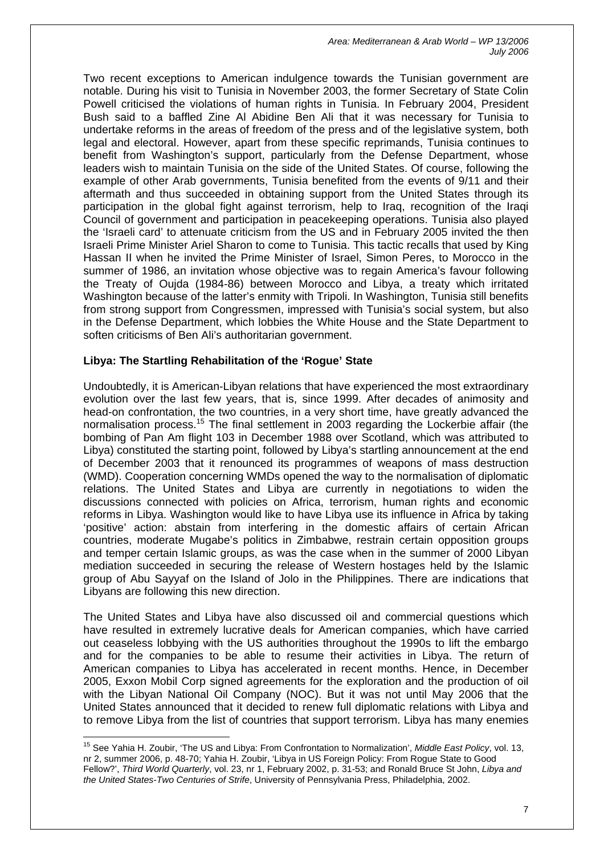Two recent exceptions to American indulgence towards the Tunisian government are notable. During his visit to Tunisia in November 2003, the former Secretary of State Colin Powell criticised the violations of human rights in Tunisia. In February 2004, President Bush said to a baffled Zine Al Abidine Ben Ali that it was necessary for Tunisia to undertake reforms in the areas of freedom of the press and of the legislative system, both legal and electoral. However, apart from these specific reprimands, Tunisia continues to benefit from Washington's support, particularly from the Defense Department, whose leaders wish to maintain Tunisia on the side of the United States. Of course, following the example of other Arab governments, Tunisia benefited from the events of 9/11 and their aftermath and thus succeeded in obtaining support from the United States through its participation in the global fight against terrorism, help to Iraq, recognition of the Iraqi Council of government and participation in peacekeeping operations. Tunisia also played the 'Israeli card' to attenuate criticism from the US and in February 2005 invited the then Israeli Prime Minister Ariel Sharon to come to Tunisia. This tactic recalls that used by King Hassan II when he invited the Prime Minister of Israel, Simon Peres, to Morocco in the summer of 1986, an invitation whose objective was to regain America's favour following the Treaty of Oujda (1984-86) between Morocco and Libya, a treaty which irritated Washington because of the latter's enmity with Tripoli. In Washington, Tunisia still benefits from strong support from Congressmen, impressed with Tunisia's social system, but also in the Defense Department, which lobbies the White House and the State Department to soften criticisms of Ben Ali's authoritarian government.

#### **Libya: The Startling Rehabilitation of the 'Rogue' State**

 $\overline{a}$ 

Undoubtedly, it is American-Libyan relations that have experienced the most extraordinary evolution over the last few years, that is, since 1999. After decades of animosity and head-on confrontation, the two countries, in a very short time, have greatly advanced the normalisation process.<sup>[15](#page-7-0)</sup> The final settlement in 2003 regarding the Lockerbie affair (the bombing of Pan Am flight 103 in December 1988 over Scotland, which was attributed to Libya) constituted the starting point, followed by Libya's startling announcement at the end of December 2003 that it renounced its programmes of weapons of mass destruction (WMD). Cooperation concerning WMDs opened the way to the normalisation of diplomatic relations. The United States and Libya are currently in negotiations to widen the discussions connected with policies on Africa, terrorism, human rights and economic reforms in Libya. Washington would like to have Libya use its influence in Africa by taking 'positive' action: abstain from interfering in the domestic affairs of certain African countries, moderate Mugabe's politics in Zimbabwe, restrain certain opposition groups and temper certain Islamic groups, as was the case when in the summer of 2000 Libyan mediation succeeded in securing the release of Western hostages held by the Islamic group of Abu Sayyaf on the Island of Jolo in the Philippines. There are indications that Libyans are following this new direction.

The United States and Libya have also discussed oil and commercial questions which have resulted in extremely lucrative deals for American companies, which have carried out ceaseless lobbying with the US authorities throughout the 1990s to lift the embargo and for the companies to be able to resume their activities in Libya. The return of American companies to Libya has accelerated in recent months. Hence, in December 2005, Exxon Mobil Corp signed agreements for the exploration and the production of oil with the Libyan National Oil Company (NOC). But it was not until May 2006 that the United States announced that it decided to renew full diplomatic relations with Libya and to remove Libya from the list of countries that support terrorism. Libya has many enemies

<span id="page-7-0"></span><sup>15</sup> See Yahia H. Zoubir, 'The US and Libya: From Confrontation to Normalization', *Middle East Policy*, vol. 13, nr 2, summer 2006, p. 48-70; Yahia H. Zoubir, 'Libya in US Foreign Policy: From Rogue State to Good Fellow?', *Third World Quarterly*, vol. 23, nr 1, February 2002, p. 31-53; and Ronald Bruce St John, *Libya and the United States-Two Centuries of Strife*, University of Pennsylvania Press, Philadelphia, 2002.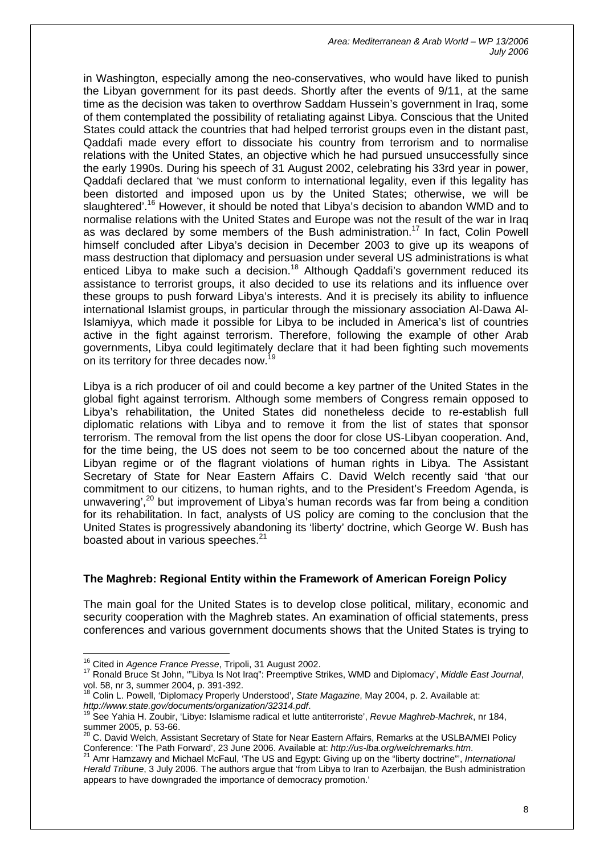in Washington, especially among the neo-conservatives, who would have liked to punish the Libyan government for its past deeds. Shortly after the events of 9/11, at the same time as the decision was taken to overthrow Saddam Hussein's government in Iraq, some of them contemplated the possibility of retaliating against Libya. Conscious that the United States could attack the countries that had helped terrorist groups even in the distant past, Qaddafi made every effort to dissociate his country from terrorism and to normalise relations with the United States, an objective which he had pursued unsuccessfully since the early 1990s. During his speech of 31 August 2002, celebrating his 33rd year in power, Qaddafi declared that 'we must conform to international legality, even if this legality has been distorted and imposed upon us by the United States; otherwise, we will be slaughtered'.<sup>16</sup> However, it should be noted that Libya's decision to abandon WMD and to normalise relations with the United States and Europe was not the result of the war in Iraq as was declared by some members of the Bush administration.<sup>17</sup> In fact, Colin Powell himself concluded after Libya's decision in December 2003 to give up its weapons of mass destruction that diplomacy and persuasion under several US administrations is what enticed Libya to make such a decision.<sup>18</sup> Although Qaddafi's government reduced its assistance to terrorist groups, it also decided to use its relations and its influence over these groups to push forward Libya's interests. And it is precisely its ability to influence international Islamist groups, in particular through the missionary association Al-Dawa Al-Islamiyya, which made it possible for Libya to be included in America's list of countries active in the fight against terrorism. Therefore, following the example of other Arab governments, Libya could legitimately declare that it had been fighting such movements on its territory for three decades now.<sup>[19](#page-8-3)</sup>

Libya is a rich producer of oil and could become a key partner of the United States in the global fight against terrorism. Although some members of Congress remain opposed to Libya's rehabilitation, the United States did nonetheless decide to re-establish full diplomatic relations with Libya and to remove it from the list of states that sponsor terrorism. The removal from the list opens the door for close US-Libyan cooperation. And, for the time being, the US does not seem to be too concerned about the nature of the Libyan regime or of the flagrant violations of human rights in Libya. The Assistant Secretary of State for Near Eastern Affairs C. David Welch recently said 'that our commitment to our citizens, to human rights, and to the President's Freedom Agenda, is unwavering',<sup>20</sup> but improvement of Libya's human records was far from being a condition for its rehabilitation. In fact, analysts of US policy are coming to the conclusion that the United States is progressively abandoning its 'liberty' doctrine, which George W. Bush has boasted about in various speeches.<sup>[21](#page-8-5)</sup>

#### **The Maghreb: Regional Entity within the Framework of American Foreign Policy**

The main goal for the United States is to develop close political, military, economic and security cooperation with the Maghreb states. An examination of official statements, press conferences and various government documents shows that the United States is trying to

<span id="page-8-0"></span><sup>&</sup>lt;sup>16</sup> Cited in Agence France Presse, Tripoli, 31 August 2002.

<span id="page-8-1"></span><sup>17</sup> Ronald Bruce St John, "Libya Is Not Iraq": Preemptive Strikes, WMD and Diplomacy', Middle East Journal,

<span id="page-8-2"></span>vol. 58, nr 3, summer 2004, p. 391-392.<br><sup>18</sup> Colin L. Powell, 'Diplomacy Properly Understood', *State Magazine*, May 2004, p. 2. Available at:<br>*http://www.state.gov/documents/organization/32314.pdf.* 

<span id="page-8-3"></span>*http://www.state.gov/documents/organization/32314.pdf*. 19 See Yahia H. Zoubir, 'Libye: Islamisme radical et lutte antiterroriste', *Revue Maghreb-Machrek*, nr 184, summer 2005, p. 53-66.<br><sup>20</sup> C. David Welch, Assistant Secretary of State for Near Eastern Affairs, Remarks at the USLBA/MEI Policy

<span id="page-8-4"></span>Conference: 'The Path Forward', 23 June 2006. Available at: *[http://us-lba.org/welchremarks.htm](https://webmail.euromed-marseille.com/exchweb/bin/redir.asp?URL=http://us-lba.org/welchremarks.htm)*.

<span id="page-8-5"></span><sup>21</sup> Amr Hamzawy and Michael McFaul, 'The US and Egypt: Giving up on the "liberty doctrine"', *International Herald Tribune*, 3 July 2006. The authors argue that 'from Libya to Iran to Azerbaijan, the Bush administration appears to have downgraded the importance of democracy promotion.'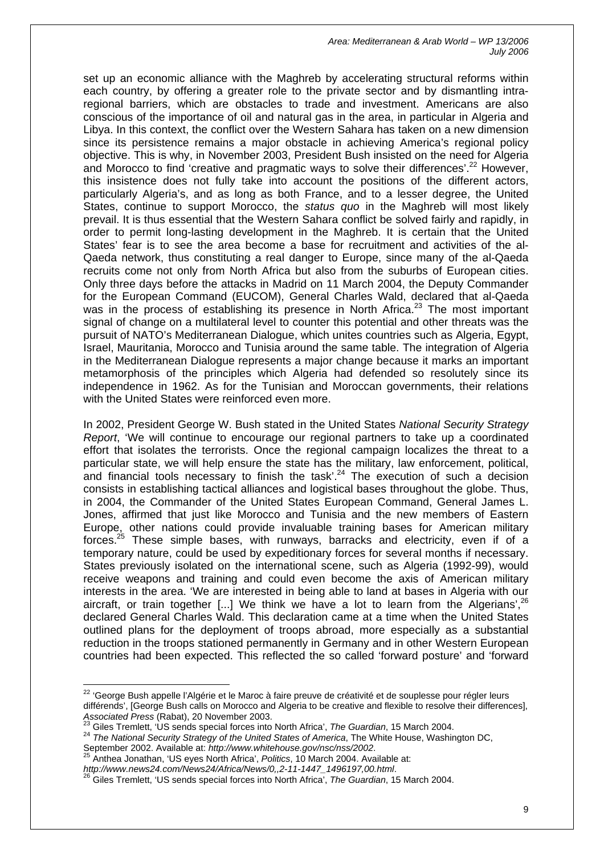set up an economic alliance with the Maghreb by accelerating structural reforms within each country, by offering a greater role to the private sector and by dismantling intraregional barriers, which are obstacles to trade and investment. Americans are also conscious of the importance of oil and natural gas in the area, in particular in Algeria and Libya. In this context, the conflict over the Western Sahara has taken on a new dimension since its persistence remains a major obstacle in achieving America's regional policy objective. This is why, in November 2003, President Bush insisted on the need for Algeria and Morocco to find 'creative and pragmatic ways to solve their differences'.<sup>22</sup> However, this insistence does not fully take into account the positions of the different actors, particularly Algeria's, and as long as both France, and to a lesser degree, the United States, continue to support Morocco, the *status quo* in the Maghreb will most likely prevail. It is thus essential that the Western Sahara conflict be solved fairly and rapidly, in order to permit long-lasting development in the Maghreb. It is certain that the United States' fear is to see the area become a base for recruitment and activities of the al-Qaeda network, thus constituting a real danger to Europe, since many of the al-Qaeda recruits come not only from North Africa but also from the suburbs of European cities. Only three days before the attacks in Madrid on 11 March 2004, the Deputy Commander for the European Command (EUCOM), General Charles Wald, declared that al-Qaeda was in the process of establishing its presence in North Africa.<sup>23</sup> The most important signal of change on a multilateral level to counter this potential and other threats was the pursuit of NATO's Mediterranean Dialogue, which unites countries such as Algeria, Egypt, Israel, Mauritania, Morocco and Tunisia around the same table. The integration of Algeria in the Mediterranean Dialogue represents a major change because it marks an important metamorphosis of the principles which Algeria had defended so resolutely since its independence in 1962. As for the Tunisian and Moroccan governments, their relations with the United States were reinforced even more.

In 2002, President George W. Bush stated in the United States *National Security Strategy Report*, 'We will continue to encourage our regional partners to take up a coordinated effort that isolates the terrorists. Once the regional campaign localizes the threat to a particular state, we will help ensure the state has the military, law enforcement, political, and financial tools necessary to finish the task'.<sup>24</sup> The execution of such a decision consists in establishing tactical alliances and logistical bases throughout the globe. Thus, in 2004, the Commander of the United States European Command, General James L. Jones, affirmed that just like Morocco and Tunisia and the new members of Eastern Europe, other nations could provide invaluable training bases for American military forces.<sup>25</sup> These simple bases, with runways, barracks and electricity, even if of a temporary nature, could be used by expeditionary forces for several months if necessary. States previously isolated on the international scene, such as Algeria (1992-99), would receive weapons and training and could even become the axis of American military interests in the area. 'We are interested in being able to land at bases in Algeria with our aircraft, or train together [...] We think we have a lot to learn from the Algerians',<sup>[26](#page-9-4)</sup> declared General Charles Wald. This declaration came at a time when the United States outlined plans for the deployment of troops abroad, more especially as a substantial reduction in the troops stationed permanently in Germany and in other Western European countries had been expected. This reflected the so called 'forward posture' and 'forward

*http://www.news24.com/News24/Africa/News/0,,2-11-1447\_1496197,00.html*.

<span id="page-9-0"></span><sup>&</sup>lt;sup>22</sup> 'George Bush appelle l'Algérie et le Maroc à faire preuve de créativité et de souplesse pour régler leurs différends', [George Bush calls on Morocco and Algeria to be creative and flexible to resolve their differences],<br>Associated Press (Rabat), 20 November 2003.

<span id="page-9-2"></span><span id="page-9-1"></span>

<sup>&</sup>lt;sup>23</sup> Giles Tremlett, 'US sends special forces into North Africa', *The Guardian*, 15 March 2004.<br><sup>24</sup> The National Security Strategy of the United States of America, The White House, Washington DC, September 2002. Availabl

<span id="page-9-3"></span>Anthea Jonathan, 'US eyes North Africa', Politics, 10 March 2004. Available at:

<span id="page-9-4"></span><sup>26</sup> Giles Tremlett, 'US sends special forces into North Africa', *The Guardian*, 15 March 2004.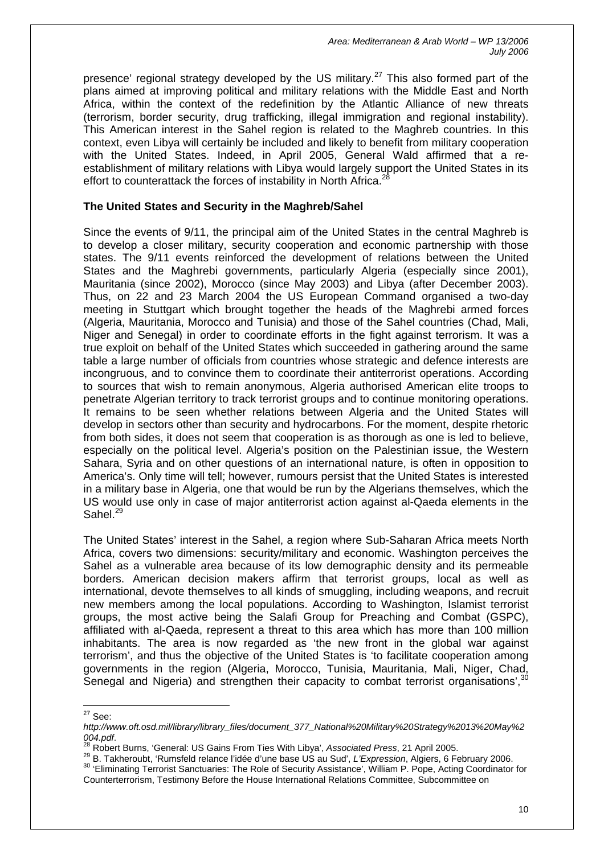presence' regional strategy developed by the US military.<sup>27</sup> This also formed part of the plans aimed at improving political and military relations with the Middle East and North Africa, within the context of the redefinition by the Atlantic Alliance of new threats (terrorism, border security, drug trafficking, illegal immigration and regional instability). This American interest in the Sahel region is related to the Maghreb countries. In this context, even Libya will certainly be included and likely to benefit from military cooperation with the United States. Indeed, in April 2005, General Wald affirmed that a reestablishment of military relations with Libya would largely support the United States in its effort to counterattack the forces of instability in North Africa.<sup>2</sup>

#### **The United States and Security in the Maghreb/Sahel**

Since the events of 9/11, the principal aim of the United States in the central Maghreb is to develop a closer military, security cooperation and economic partnership with those states. The 9/11 events reinforced the development of relations between the United States and the Maghrebi governments, particularly Algeria (especially since 2001), Mauritania (since 2002), Morocco (since May 2003) and Libya (after December 2003). Thus, on 22 and 23 March 2004 the US European Command organised a two-day meeting in Stuttgart which brought together the heads of the Maghrebi armed forces (Algeria, Mauritania, Morocco and Tunisia) and those of the Sahel countries (Chad, Mali, Niger and Senegal) in order to coordinate efforts in the fight against terrorism. It was a true exploit on behalf of the United States which succeeded in gathering around the same table a large number of officials from countries whose strategic and defence interests are incongruous, and to convince them to coordinate their antiterrorist operations. According to sources that wish to remain anonymous, Algeria authorised American elite troops to penetrate Algerian territory to track terrorist groups and to continue monitoring operations. It remains to be seen whether relations between Algeria and the United States will develop in sectors other than security and hydrocarbons. For the moment, despite rhetoric from both sides, it does not seem that cooperation is as thorough as one is led to believe, especially on the political level. Algeria's position on the Palestinian issue, the Western Sahara, Syria and on other questions of an international nature, is often in opposition to America's. Only time will tell; however, rumours persist that the United States is interested in a military base in Algeria, one that would be run by the Algerians themselves, which the US would use only in case of major antiterrorist action against al-Qaeda elements in the Sahel. $29$ 

The United States' interest in the Sahel, a region where Sub-Saharan Africa meets North Africa, covers two dimensions: security/military and economic. Washington perceives the Sahel as a vulnerable area because of its low demographic density and its permeable borders. American decision makers affirm that terrorist groups, local as well as international, devote themselves to all kinds of smuggling, including weapons, and recruit new members among the local populations. According to Washington, Islamist terrorist groups, the most active being the Salafi Group for Preaching and Combat (GSPC), affiliated with al-Qaeda, represent a threat to this area which has more than 100 million inhabitants. The area is now regarded as 'the new front in the global war against terrorism', and thus the objective of the United States is 'to facilitate cooperation among governments in the region (Algeria, Morocco, Tunisia, Mauritania, Mali, Niger, Chad, Senegal and Nigeria) and strengthen their capacity to combat terrorist organisations',<sup>[30](#page-10-3)</sup>

<span id="page-10-0"></span> $^{27}$  See:

*http://www.oft.osd.mil/library/library\_files/document\_377\_National%20Military%20Strategy%2013%20May%2* 004.pdf.<br><sup>28</sup> Robert Burns, 'General: US Gains From Ties With Libya', Associated Press, 21 April 2005.<br><sup>29</sup> B. Takheroubt, 'Rumsfeld relance l'idée d'une base US au Sud', L'Expression, Algiers, 6 February 2006.

<span id="page-10-1"></span>

<span id="page-10-3"></span><span id="page-10-2"></span><sup>&</sup>lt;sup>30</sup> 'Eliminating Terrorist Sanctuaries: The Role of Security Assistance', William P. Pope, Acting Coordinator for Counterterrorism, Testimony Before the House International Relations Committee, Subcommittee on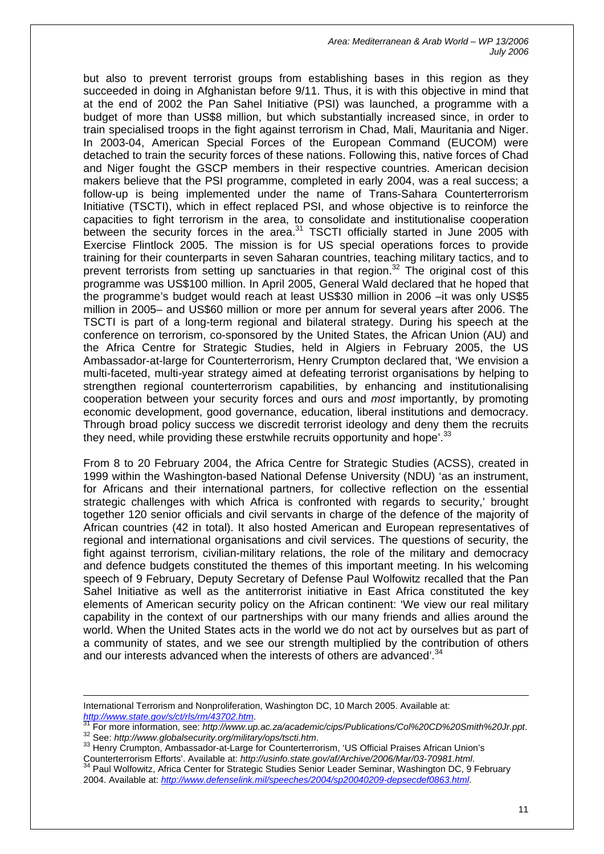but also to prevent terrorist groups from establishing bases in this region as they succeeded in doing in Afghanistan before 9/11. Thus, it is with this objective in mind that at the end of 2002 the Pan Sahel Initiative (PSI) was launched, a programme with a budget of more than US\$8 million, but which substantially increased since, in order to train specialised troops in the fight against terrorism in Chad, Mali, Mauritania and Niger. In 2003-04, American Special Forces of the European Command (EUCOM) were detached to train the security forces of these nations. Following this, native forces of Chad and Niger fought the GSCP members in their respective countries. American decision makers believe that the PSI programme, completed in early 2004, was a real success; a follow-up is being implemented under the name of Trans-Sahara Counterterrorism Initiative (TSCTI), which in effect replaced PSI, and whose objective is to reinforce the capacities to fight terrorism in the area, to consolidate and institutionalise cooperation between the security forces in the area.<sup>31</sup> TSCTI officially started in June 2005 with Exercise Flintlock 2005. The mission is for US special operations forces to provide training for their counterparts in seven Saharan countries, teaching military tactics, and to prevent terrorists from setting up sanctuaries in that region.<sup>32</sup> The original cost of this programme was US\$100 million. In April 2005, General Wald declared that he hoped that the programme's budget would reach at least US\$30 million in 2006 –it was only US\$5 million in 2005– and US\$60 million or more per annum for several years after 2006. The TSCTI is part of a long-term regional and bilateral strategy. During his speech at the conference on terrorism, co-sponsored by the United States, the African Union (AU) and the Africa Centre for Strategic Studies, held in Algiers in February 2005, the US Ambassador-at-large for Counterterrorism, Henry Crumpton declared that, 'We envision a multi-faceted, multi-year strategy aimed at defeating terrorist organisations by helping to strengthen regional counterterrorism capabilities, by enhancing and institutionalising cooperation between your security forces and ours and *most* importantly, by promoting economic development, good governance, education, liberal institutions and democracy. Through broad policy success we discredit terrorist ideology and deny them the recruits they need, while providing these erstwhile recruits opportunity and hope'.<sup>[33](#page-11-2)</sup>

From 8 to 20 February 2004, the Africa Centre for Strategic Studies (ACSS), created in 1999 within the Washington-based National Defense University (NDU) 'as an instrument, for Africans and their international partners, for collective reflection on the essential strategic challenges with which Africa is confronted with regards to security,' brought together 120 senior officials and civil servants in charge of the defence of the majority of African countries (42 in total). It also hosted American and European representatives of regional and international organisations and civil services. The questions of security, the fight against terrorism, civilian-military relations, the role of the military and democracy and defence budgets constituted the themes of this important meeting. In his welcoming speech of 9 February, Deputy Secretary of Defense Paul Wolfowitz recalled that the Pan Sahel Initiative as well as the antiterrorist initiative in East Africa constituted the key elements of American security policy on the African continent: 'We view our real military capability in the context of our partnerships with our many friends and allies around the world. When the United States acts in the world we do not act by ourselves but as part of a community of states, and we see our strength multiplied by the contribution of others and our interests advanced when the interests of others are advanced'.<sup>[34](#page-11-3)</sup>

International Terrorism and Nonproliferation, Washington DC, 10 March 2005. Available at:

<span id="page-11-0"></span>http://www[.](http://www.state.gov/s/ct/rls/rm/43702.htm)state.gov/s/ct/rls/rm/43702.htm.<br><sup>31</sup> For more information, see: http://www.up.ac.za/academic/cips/Publications/Col%20CD%20Smith%20Jr.ppt.<br><sup>32</sup> See: http://www.globalsecurity.org/military/ops/tscti.htm.<br><sup>33</sup> Hen

<span id="page-11-3"></span><span id="page-11-2"></span><span id="page-11-1"></span>Counterterrorism Efforts'. Available at: *http://usinfo.state.gov/af/Archive/2006/Mar/03-70981.html*. Paul Wolfowitz, Africa Center for Strategic Studies Senior Leader Seminar, Washington DC, 9 February 2004. Available at: *<http://www.defenselink.mil/speeches/2004/sp20040209-depsecdef0863.html>*.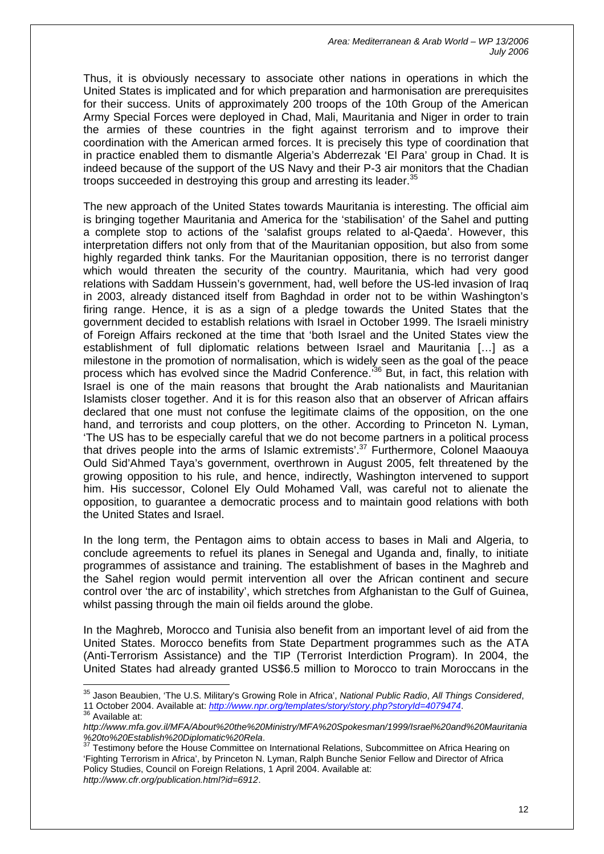Thus, it is obviously necessary to associate other nations in operations in which the United States is implicated and for which preparation and harmonisation are prerequisites for their success. Units of approximately 200 troops of the 10th Group of the American Army Special Forces were deployed in Chad, Mali, Mauritania and Niger in order to train the armies of these countries in the fight against terrorism and to improve their coordination with the American armed forces. It is precisely this type of coordination that in practice enabled them to dismantle Algeria's Abderrezak 'El Para' group in Chad. It is indeed because of the support of the US Navy and their P-3 air monitors that the Chadian troops succeeded in destroying this group and arresting its leader.<sup>[35](#page-12-0)</sup>

The new approach of the United States towards Mauritania is interesting. The official aim is bringing together Mauritania and America for the 'stabilisation' of the Sahel and putting a complete stop to actions of the 'salafist groups related to al-Qaeda'. However, this interpretation differs not only from that of the Mauritanian opposition, but also from some highly regarded think tanks. For the Mauritanian opposition, there is no terrorist danger which would threaten the security of the country. Mauritania, which had very good relations with Saddam Hussein's government, had, well before the US-led invasion of Iraq in 2003, already distanced itself from Baghdad in order not to be within Washington's firing range. Hence, it is as a sign of a pledge towards the United States that the government decided to establish relations with Israel in October 1999. The Israeli ministry of Foreign Affairs reckoned at the time that 'both Israel and the United States view the establishment of full diplomatic relations between Israel and Mauritania […] as a milestone in the promotion of normalisation, which is widely seen as the goal of the peace process which has evolved since the Madrid Conference.<sup>36</sup> But, in fact, this relation with Israel is one of the main reasons that brought the Arab nationalists and Mauritanian Islamists closer together. And it is for this reason also that an observer of African affairs declared that one must not confuse the legitimate claims of the opposition, on the one hand, and terrorists and coup plotters, on the other. According to Princeton N. Lyman, 'The US has to be especially careful that we do not become partners in a political process that drives people into the arms of Islamic extremists'[.37](#page-12-2) Furthermore, Colonel Maaouya Ould Sid'Ahmed Taya's government, overthrown in August 2005, felt threatened by the growing opposition to his rule, and hence, indirectly, Washington intervened to support him. His successor, Colonel Ely Ould Mohamed Vall, was careful not to alienate the opposition, to guarantee a democratic process and to maintain good relations with both the United States and Israel.

In the long term, the Pentagon aims to obtain access to bases in Mali and Algeria, to conclude agreements to refuel its planes in Senegal and Uganda and, finally, to initiate programmes of assistance and training. The establishment of bases in the Maghreb and the Sahel region would permit intervention all over the African continent and secure control over 'the arc of instability', which stretches from Afghanistan to the Gulf of Guinea, whilst passing through the main oil fields around the globe.

In the Maghreb, Morocco and Tunisia also benefit from an important level of aid from the United States. Morocco benefits from State Department programmes such as the ATA (Anti-Terrorism Assistance) and the TIP (Terrorist Interdiction Program). In 2004, the United States had already granted US\$6.5 million to Morocco to train Moroccans in the

<span id="page-12-0"></span> $\overline{a}$ 35 Jason Beaubien, 'The U.S. Military's Growing Role in Africa', *National Public Radio*, *All Things Considered*,

<span id="page-12-1"></span><sup>11</sup> October 2004. Available at: *http://www.npr.org/templates/story/story.php?storyId=4079474*. 36 Available at:

*http://www.mfa.gov.il/MFA/About%20the%20Ministry/MFA%20Spokesman/1999/Israel%20and%20Mauritania %20to%20Establish%20Diplomatic%20Rela*.

<span id="page-12-2"></span> $37$  Testimony before the House Committee on International Relations, Subcommittee on Africa Hearing on 'Fighting Terrorism in Africa', by Princeton N. Lyman, Ralph Bunche Senior Fellow and Director of Africa Policy Studies, Council on Foreign Relations, 1 April 2004. Available at: *http://www.cfr.org/publication.html?id=6912*.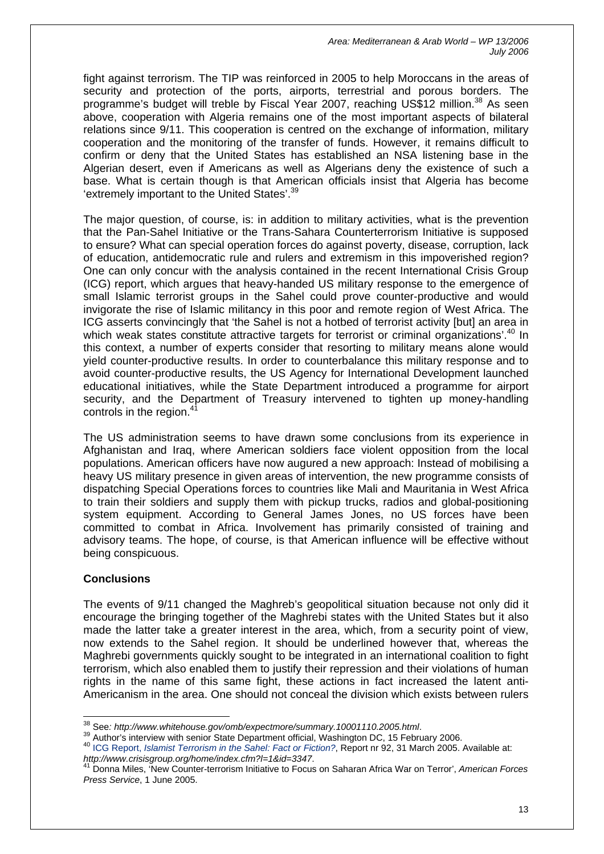fight against terrorism. The TIP was reinforced in 2005 to help Moroccans in the areas of security and protection of the ports, airports, terrestrial and porous borders. The programme's budget will treble by Fiscal Year 2007, reaching US\$12 million.<sup>38</sup> As seen above, cooperation with Algeria remains one of the most important aspects of bilateral relations since 9/11. This cooperation is centred on the exchange of information, military cooperation and the monitoring of the transfer of funds. However, it remains difficult to confirm or deny that the United States has established an NSA listening base in the Algerian desert, even if Americans as well as Algerians deny the existence of such a base. What is certain though is that American officials insist that Algeria has become 'extremely important to the United States'.<sup>39</sup>

The major question, of course, is: in addition to military activities, what is the prevention that the Pan-Sahel Initiative or the Trans-Sahara Counterterrorism Initiative is supposed to ensure? What can special operation forces do against poverty, disease, corruption, lack of education, antidemocratic rule and rulers and extremism in this impoverished region? One can only concur with the analysis contained in the recent International Crisis Group (ICG) report, which argues that heavy-handed US military response to the emergence of small Islamic terrorist groups in the Sahel could prove counter-productive and would invigorate the rise of Islamic militancy in this poor and remote region of West Africa. The ICG asserts convincingly that 'the Sahel is not a hotbed of terrorist activity [but] an area in which weak states constitute attractive targets for terrorist or criminal organizations'.<sup>40</sup> In this context, a number of experts consider that resorting to military means alone would yield counter-productive results. In order to counterbalance this military response and to avoid counter-productive results, the US Agency for International Development launched educational initiatives, while the State Department introduced a programme for airport security, and the Department of Treasury intervened to tighten up money-handling controls in the region.<sup>4</sup>

The US administration seems to have drawn some conclusions from its experience in Afghanistan and Iraq, where American soldiers face violent opposition from the local populations. American officers have now augured a new approach: Instead of mobilising a heavy US military presence in given areas of intervention, the new programme consists of dispatching Special Operations forces to countries like Mali and Mauritania in West Africa to train their soldiers and supply them with pickup trucks, radios and global-positioning system equipment. According to General James Jones, no US forces have been committed to combat in Africa. Involvement has primarily consisted of training and advisory teams. The hope, of course, is that American influence will be effective without being conspicuous.

## **Conclusions**

The events of 9/11 changed the Maghreb's geopolitical situation because not only did it encourage the bringing together of the Maghrebi states with the United States but it also made the latter take a greater interest in the area, which, from a security point of view, now extends to the Sahel region. It should be underlined however that, whereas the Maghrebi governments quickly sought to be integrated in an international coalition to fight terrorism, which also enabled them to justify their repression and their violations of human rights in the name of this same fight, these actions in fact increased the latent anti-Americanism in the area. One should not conceal the division which exists between rulers

<span id="page-13-0"></span><sup>&</sup>lt;sup>38</sup> See: http://www.whitehouse.gov/omb/expectmore/summary.10001110.2005.html.

<span id="page-13-2"></span><span id="page-13-1"></span>

<sup>39</sup> Author's interview with senior State Department official, Washington DC, 15 February 2006.<br><sup>40</sup> ICG Report, *Islamist Terrorism in the Sahel: Fact or Fiction?*, Report nr 92, 31 March 2005. Available at: *http://www.crisisgroup.org/home/index.cfm?l=1&id=3347*.

<span id="page-13-3"></span><sup>41</sup> Donna Miles, 'New Counter-terrorism Initiative to Focus on Saharan Africa War on Terror', *American Forces Press Service*, 1 June 2005.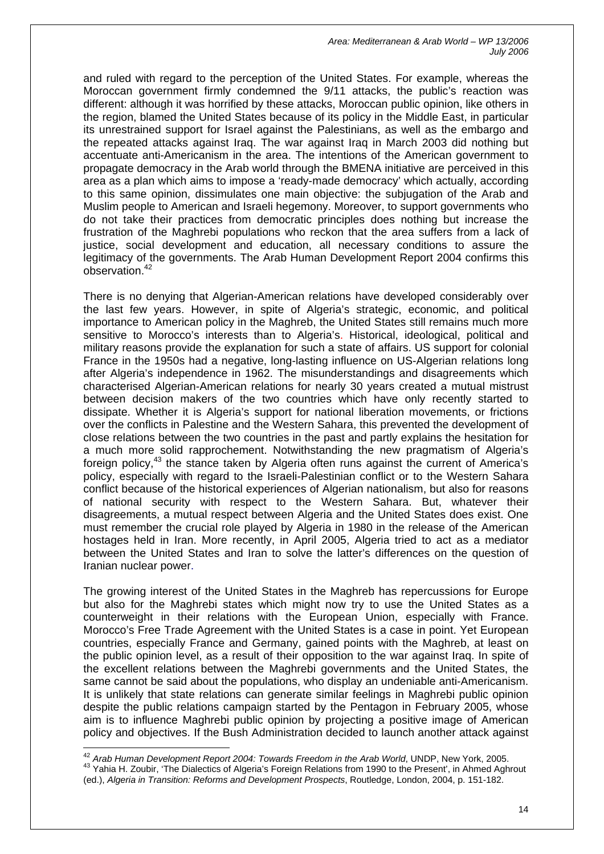and ruled with regard to the perception of the United States. For example, whereas the Moroccan government firmly condemned the 9/11 attacks, the public's reaction was different: although it was horrified by these attacks, Moroccan public opinion, like others in the region, blamed the United States because of its policy in the Middle East, in particular its unrestrained support for Israel against the Palestinians, as well as the embargo and the repeated attacks against Iraq. The war against Iraq in March 2003 did nothing but accentuate anti-Americanism in the area. The intentions of the American government to propagate democracy in the Arab world through the BMENA initiative are perceived in this area as a plan which aims to impose a 'ready-made democracy' which actually, according to this same opinion, dissimulates one main objective: the subjugation of the Arab and Muslim people to American and Israeli hegemony. Moreover, to support governments who do not take their practices from democratic principles does nothing but increase the frustration of the Maghrebi populations who reckon that the area suffers from a lack of iustice, social development and education, all necessary conditions to assure the legitimacy of the governments. The Arab Human Development Report 2004 confirms this observation.[42](#page-14-0)

There is no denying that Algerian-American relations have developed considerably over the last few years. However, in spite of Algeria's strategic, economic, and political importance to American policy in the Maghreb, the United States still remains much more sensitive to Morocco's interests than to Algeria's. Historical, ideological, political and military reasons provide the explanation for such a state of affairs. US support for colonial France in the 1950s had a negative, long-lasting influence on US-Algerian relations long after Algeria's independence in 1962. The misunderstandings and disagreements which characterised Algerian-American relations for nearly 30 years created a mutual mistrust between decision makers of the two countries which have only recently started to dissipate. Whether it is Algeria's support for national liberation movements, or frictions over the conflicts in Palestine and the Western Sahara, this prevented the development of close relations between the two countries in the past and partly explains the hesitation for a much more solid rapprochement. Notwithstanding the new pragmatism of Algeria's foreign policy,<sup>43</sup> the stance taken by Algeria often runs against the current of America's policy, especially with regard to the Israeli-Palestinian conflict or to the Western Sahara conflict because of the historical experiences of Algerian nationalism, but also for reasons of national security with respect to the Western Sahara. But, whatever their disagreements, a mutual respect between Algeria and the United States does exist. One must remember the crucial role played by Algeria in 1980 in the release of the American hostages held in Iran. More recently, in April 2005, Algeria tried to act as a mediator between the United States and Iran to solve the latter's differences on the question of Iranian nuclear power.

The growing interest of the United States in the Maghreb has repercussions for Europe but also for the Maghrebi states which might now try to use the United States as a counterweight in their relations with the European Union, especially with France. Morocco's Free Trade Agreement with the United States is a case in point. Yet European countries, especially France and Germany, gained points with the Maghreb, at least on the public opinion level, as a result of their opposition to the war against Iraq. In spite of the excellent relations between the Maghrebi governments and the United States, the same cannot be said about the populations, who display an undeniable anti-Americanism. It is unlikely that state relations can generate similar feelings in Maghrebi public opinion despite the public relations campaign started by the Pentagon in February 2005, whose aim is to influence Maghrebi public opinion by projecting a positive image of American policy and objectives. If the Bush Administration decided to launch another attack against

<span id="page-14-1"></span><span id="page-14-0"></span><sup>42</sup> *Arab Human Development Report 2004: Towards Freedom in the Arab World*, UNDP, New York, 2005. 43 Yahia H. Zoubir, 'The Dialectics of Algeria's Foreign Relations from 1990 to the Present', in Ahmed Aghrout (ed.), *Algeria in Transition: Reforms and Development Prospects*, Routledge, London, 2004, p. 151-182.